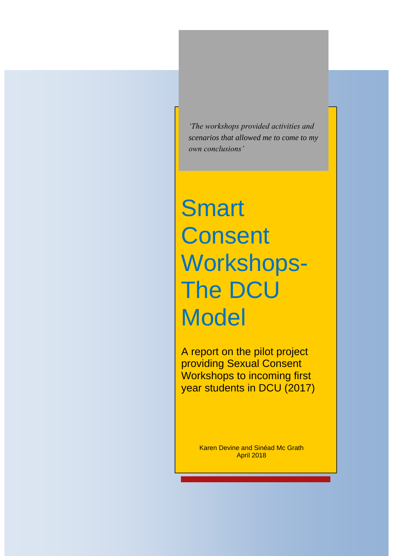*'The workshops provided activities and scenarios that allowed me to come to my own conclusions'*

# **Smart Consent** Workshops-The DCU **Model**

A report on the pilot project providing Sexual Consent Workshops to incoming first year students in DCU (2017)

> Karen Devine and Sinéad Mc Grath April 2018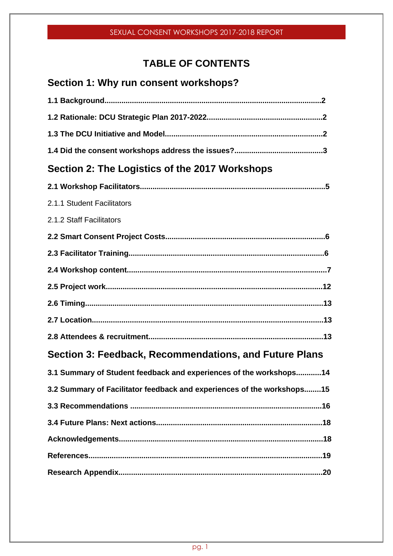# **TABLE OF CONTENTS**

# **Section 1: Why run consent workshops?**

| Section 2: The Logistics of the 2017 Workshops                         |
|------------------------------------------------------------------------|
|                                                                        |
| 2.1.1 Student Facilitators                                             |
| 2.1.2 Staff Facilitators                                               |
|                                                                        |
|                                                                        |
|                                                                        |
|                                                                        |
|                                                                        |
|                                                                        |
|                                                                        |
| Section 3: Feedback, Recommendations, and Future Plans                 |
| 3.1 Summary of Student feedback and experiences of the workshops14     |
| 3.2 Summary of Facilitator feedback and experiences of the workshops15 |
|                                                                        |
|                                                                        |
|                                                                        |
|                                                                        |
|                                                                        |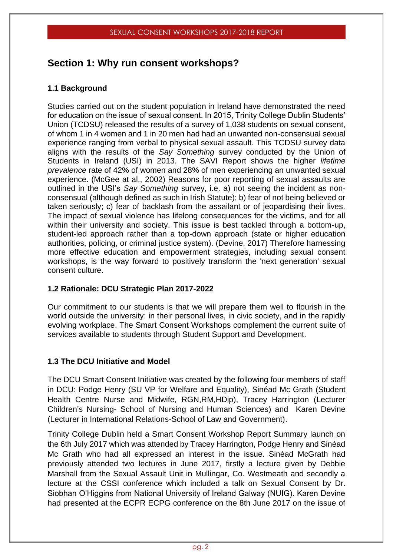# **Section 1: Why run consent workshops?**

#### **1.1 Background**

Studies carried out on the student population in Ireland have demonstrated the need for education on the issue of sexual consent. In 2015, Trinity College Dublin Students' Union (TCDSU) released the results of a survey of 1,038 students on sexual consent, of whom 1 in 4 women and 1 in 20 men had had an unwanted non-consensual sexual experience ranging from verbal to physical sexual assault. This TCDSU survey data aligns with the results of the *Say Something* survey conducted by the Union of Students in Ireland (USI) in 2013. The SAVI Report shows the higher *lifetime prevalence* rate of 42% of women and 28% of men experiencing an unwanted sexual experience. (McGee at al., 2002) Reasons for poor reporting of sexual assaults are outlined in the USI's *Say Something* survey, i.e. a) not seeing the incident as nonconsensual (although defined as such in Irish Statute); b) fear of not being believed or taken seriously; c) fear of backlash from the assailant or of jeopardising their lives. The impact of sexual violence has lifelong consequences for the victims, and for all within their university and society. This issue is best tackled through a bottom-up, student-led approach rather than a top-down approach (state or higher education authorities, policing, or criminal justice system). (Devine, 2017) Therefore harnessing more effective education and empowerment strategies, including sexual consent workshops, is the way forward to positively transform the 'next generation' sexual consent culture.

#### **1.2 Rationale: DCU Strategic Plan 2017-2022**

Our commitment to our students is that we will prepare them well to flourish in the world outside the university: in their personal lives, in civic society, and in the rapidly evolving workplace. The Smart Consent Workshops complement the current suite of services available to students through Student Support and Development.

#### **1.3 The DCU Initiative and Model**

The DCU Smart Consent Initiative was created by the following four members of staff in DCU: Podge Henry (SU VP for Welfare and Equality), Sinéad Mc Grath (Student Health Centre Nurse and Midwife, RGN,RM,HDip), Tracey Harrington (Lecturer Children's Nursing- School of Nursing and Human Sciences) and Karen Devine (Lecturer in International Relations-School of Law and Government).

Trinity College Dublin held a Smart Consent Workshop Report Summary launch on the 6th July 2017 which was attended by Tracey Harrington, Podge Henry and Sinéad Mc Grath who had all expressed an interest in the issue. Sinéad McGrath had previously attended two lectures in June 2017, firstly a lecture given by Debbie Marshall from the Sexual Assault Unit in Mullingar, Co. Westmeath and secondly a lecture at the CSSI conference which included a talk on Sexual Consent by Dr. Siobhan O'Higgins from National University of Ireland Galway (NUIG). Karen Devine had presented at the ECPR ECPG conference on the 8th June 2017 on the issue of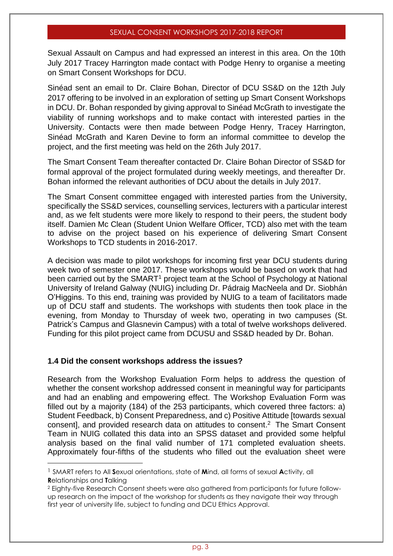Sexual Assault on Campus and had expressed an interest in this area. On the 10th July 2017 Tracey Harrington made contact with Podge Henry to organise a meeting on Smart Consent Workshops for DCU.

Sinéad sent an email to Dr. Claire Bohan, Director of DCU SS&D on the 12th July 2017 offering to be involved in an exploration of setting up Smart Consent Workshops in DCU. Dr. Bohan responded by giving approval to Sinéad McGrath to investigate the viability of running workshops and to make contact with interested parties in the University. Contacts were then made between Podge Henry, Tracey Harrington, Sinéad McGrath and Karen Devine to form an informal committee to develop the project, and the first meeting was held on the 26th July 2017.

The Smart Consent Team thereafter contacted Dr. Claire Bohan Director of SS&D for formal approval of the project formulated during weekly meetings, and thereafter Dr. Bohan informed the relevant authorities of DCU about the details in July 2017.

The Smart Consent committee engaged with interested parties from the University, specifically the SS&D services, counselling services, lecturers with a particular interest and, as we felt students were more likely to respond to their peers, the student body itself. Damien Mc Clean (Student Union Welfare Officer, TCD) also met with the team to advise on the project based on his experience of delivering Smart Consent Workshops to TCD students in 2016-2017.

A decision was made to pilot workshops for incoming first year DCU students during week two of semester one 2017. These workshops would be based on work that had been carried out by the SMART<sup>1</sup> project team at the School of Psychology at National University of Ireland Galway (NUIG) including Dr. Pádraig MacNeela and Dr. Siobhán O'Higgins. To this end, training was provided by NUIG to a team of facilitators made up of DCU staff and students. The workshops with students then took place in the evening, from Monday to Thursday of week two, operating in two campuses (St. Patrick's Campus and Glasnevin Campus) with a total of twelve workshops delivered. Funding for this pilot project came from DCUSU and SS&D headed by Dr. Bohan.

#### **1.4 Did the consent workshops address the issues?**

Research from the Workshop Evaluation Form helps to address the question of whether the consent workshop addressed consent in meaningful way for participants and had an enabling and empowering effect. The Workshop Evaluation Form was filled out by a majority (184) of the 253 participants, which covered three factors: a) Student Feedback, b) Consent Preparedness, and c) Positive Attitude [towards sexual consent], and provided research data on attitudes to consent. <sup>2</sup> The Smart Consent Team in NUIG collated this data into an SPSS dataset and provided some helpful analysis based on the final valid number of 171 completed evaluation sheets. Approximately four-fifths of the students who filled out the evaluation sheet were

<sup>1</sup> SMART refers to All **S**exual orientations, state of **M**ind, all forms of sexual **A**ctivity, all **R**elationships and **T**alking

<sup>2</sup> Eighty-five Research Consent sheets were also gathered from participants for future followup research on the impact of the workshop for students as they navigate their way through first year of university life, subject to funding and DCU Ethics Approval.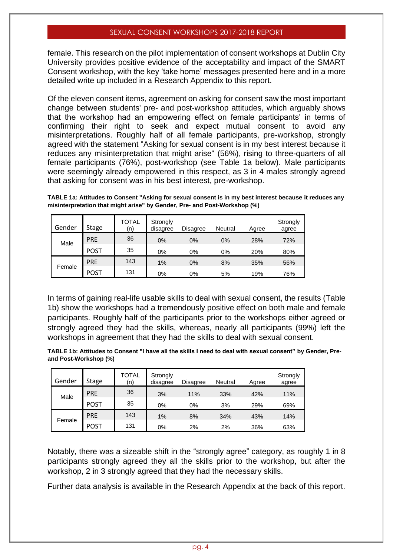female. This research on the pilot implementation of consent workshops at Dublin City University provides positive evidence of the acceptability and impact of the SMART Consent workshop, with the key 'take home' messages presented here and in a more detailed write up included in a Research Appendix to this report.

Of the eleven consent items, agreement on asking for consent saw the most important change between students' pre- and post-workshop attitudes, which arguably shows that the workshop had an empowering effect on female participants' in terms of confirming their right to seek and expect mutual consent to avoid any misinterpretations. Roughly half of all female participants, pre-workshop, strongly agreed with the statement "Asking for sexual consent is in my best interest because it reduces any misinterpretation that might arise" (56%), rising to three-quarters of all female participants (76%), post-workshop (see Table 1a below). Male participants were seemingly already empowered in this respect, as 3 in 4 males strongly agreed that asking for consent was in his best interest, pre-workshop.

**TABLE 1a: Attitudes to Consent "Asking for sexual consent is in my best interest because it reduces any misinterpretation that might arise" by Gender, Pre- and Post-Workshop (%)**

| Gender | <b>Stage</b> | TOTAL<br>(n) | Strongly<br>disagree | Disagree | Neutral | Agree | Strongly<br>agree |
|--------|--------------|--------------|----------------------|----------|---------|-------|-------------------|
| Male   | <b>PRE</b>   | 36           | 0%                   | 0%       | 0%      | 28%   | 72%               |
|        | <b>POST</b>  | 35           | $0\%$                | 0%       | 0%      | 20%   | 80%               |
| Female | <b>PRE</b>   | 143          | 1%                   | 0%       | 8%      | 35%   | 56%               |
|        | <b>POST</b>  | 131          | 0%                   | 0%       | 5%      | 19%   | 76%               |

In terms of gaining real-life usable skills to deal with sexual consent, the results (Table 1b) show the workshops had a tremendously positive effect on both male and female participants. Roughly half of the participants prior to the workshops either agreed or strongly agreed they had the skills, whereas, nearly all participants (99%) left the workshops in agreement that they had the skills to deal with sexual consent.

**TABLE 1b: Attitudes to Consent "I have all the skills I need to deal with sexual consent" by Gender, Preand Post-Workshop (%)**

| Gender | <b>Stage</b> | TOTAL<br>(n) | Strongly<br>disagree | Disagree | Neutral | Agree | Strongly<br>agree |
|--------|--------------|--------------|----------------------|----------|---------|-------|-------------------|
| Male   | <b>PRE</b>   | 36           | 3%                   | 11%      | 33%     | 42%   | 11%               |
|        | <b>POST</b>  | 35           | 0%                   | 0%       | 3%      | 29%   | 69%               |
|        | <b>PRE</b>   | 143          | 1%                   | 8%       | 34%     | 43%   | 14%               |
| Female | <b>POST</b>  | 131          | 0%                   | 2%       | 2%      | 36%   | 63%               |

Notably, there was a sizeable shift in the "strongly agree" category, as roughly 1 in 8 participants strongly agreed they all the skills prior to the workshop, but after the workshop, 2 in 3 strongly agreed that they had the necessary skills.

Further data analysis is available in the Research Appendix at the back of this report.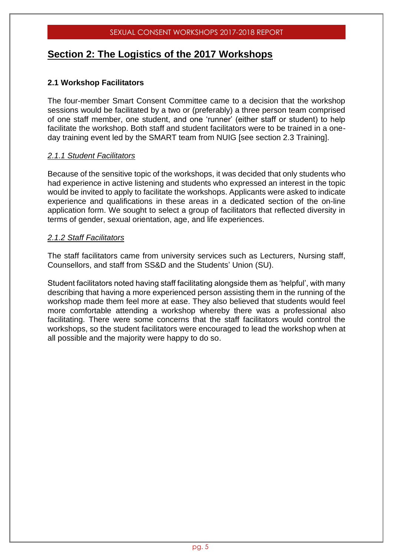### **Section 2: The Logistics of the 2017 Workshops**

#### **2.1 Workshop Facilitators**

The four-member Smart Consent Committee came to a decision that the workshop sessions would be facilitated by a two or (preferably) a three person team comprised of one staff member, one student, and one 'runner' (either staff or student) to help facilitate the workshop. Both staff and student facilitators were to be trained in a oneday training event led by the SMART team from NUIG [see section 2.3 Training].

#### *2.1.1 Student Facilitators*

Because of the sensitive topic of the workshops, it was decided that only students who had experience in active listening and students who expressed an interest in the topic would be invited to apply to facilitate the workshops. Applicants were asked to indicate experience and qualifications in these areas in a dedicated section of the on-line application form. We sought to select a group of facilitators that reflected diversity in terms of gender, sexual orientation, age, and life experiences.

#### *2.1.2 Staff Facilitators*

The staff facilitators came from university services such as Lecturers, Nursing staff, Counsellors, and staff from SS&D and the Students' Union (SU).

Student facilitators noted having staff facilitating alongside them as 'helpful', with many describing that having a more experienced person assisting them in the running of the workshop made them feel more at ease. They also believed that students would feel more comfortable attending a workshop whereby there was a professional also facilitating. There were some concerns that the staff facilitators would control the workshops, so the student facilitators were encouraged to lead the workshop when at all possible and the majority were happy to do so.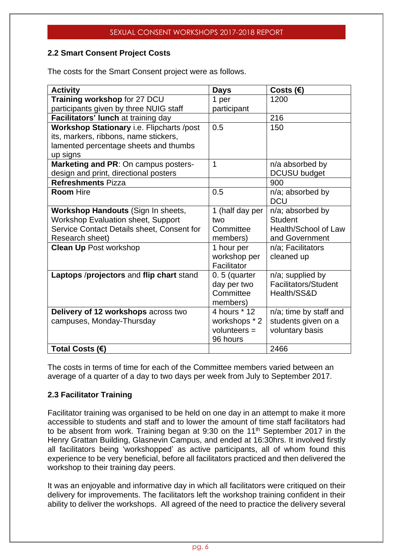#### **2.2 Smart Consent Project Costs**

The costs for the Smart Consent project were as follows.

| <b>Activity</b>                                  | <b>Days</b>     | Costs $(\epsilon)$          |
|--------------------------------------------------|-----------------|-----------------------------|
| Training workshop for 27 DCU                     | 1 per           | 1200                        |
| participants given by three NUIG staff           | participant     |                             |
| Facilitators' lunch at training day              |                 | 216                         |
| <b>Workshop Stationary i.e. Flipcharts /post</b> | 0.5             | 150                         |
| its, markers, ribbons, name stickers,            |                 |                             |
| lamented percentage sheets and thumbs            |                 |                             |
| up signs                                         |                 |                             |
| Marketing and PR: On campus posters-             | 1               | n/a absorbed by             |
| design and print, directional posters            |                 | <b>DCUSU</b> budget         |
| <b>Refreshments Pizza</b>                        |                 | 900                         |
| <b>Room Hire</b>                                 | 0.5             | n/a; absorbed by            |
|                                                  |                 | <b>DCU</b>                  |
| Workshop Handouts (Sign In sheets,               | 1 (half day per | n/a; absorbed by            |
| <b>Workshop Evaluation sheet, Support</b>        | two             | <b>Student</b>              |
| Service Contact Details sheet, Consent for       | Committee       | Health/School of Law        |
| Research sheet)                                  | members)        | and Government              |
| <b>Clean Up Post workshop</b>                    | 1 hour per      | n/a; Facilitators           |
|                                                  | workshop per    | cleaned up                  |
|                                                  | Facilitator     |                             |
| Laptops /projectors and flip chart stand         | $0.5$ (quarter  | n/a; supplied by            |
|                                                  | day per two     | <b>Facilitators/Student</b> |
|                                                  | Committee       | Health/SS&D                 |
|                                                  | members)        |                             |
| Delivery of 12 workshops across two              | 4 hours * 12    | n/a; time by staff and      |
| campuses, Monday-Thursday                        | workshops * 2   | students given on a         |
|                                                  | volunteers $=$  | voluntary basis             |
|                                                  | 96 hours        |                             |
| Total Costs (€)                                  |                 | 2466                        |

The costs in terms of time for each of the Committee members varied between an average of a quarter of a day to two days per week from July to September 2017.

#### **2.3 Facilitator Training**

Facilitator training was organised to be held on one day in an attempt to make it more accessible to students and staff and to lower the amount of time staff facilitators had to be absent from work. Training began at 9:30 on the 11<sup>th</sup> September 2017 in the Henry Grattan Building, Glasnevin Campus, and ended at 16:30hrs. It involved firstly all facilitators being 'workshopped' as active participants, all of whom found this experience to be very beneficial, before all facilitators practiced and then delivered the workshop to their training day peers.

It was an enjoyable and informative day in which all facilitators were critiqued on their delivery for improvements. The facilitators left the workshop training confident in their ability to deliver the workshops. All agreed of the need to practice the delivery several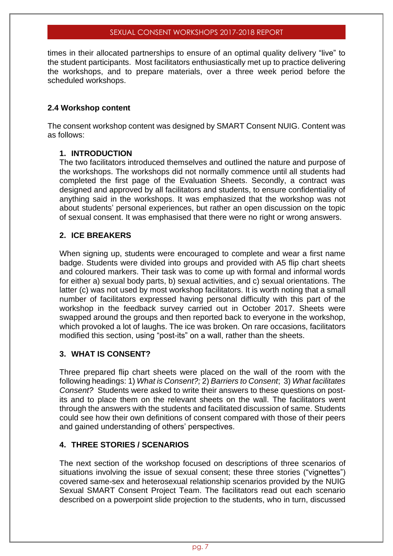times in their allocated partnerships to ensure of an optimal quality delivery "live" to the student participants. Most facilitators enthusiastically met up to practice delivering the workshops, and to prepare materials, over a three week period before the scheduled workshops.

#### **2.4 Workshop content**

The consent workshop content was designed by SMART Consent NUIG. Content was as follows:

#### **1. INTRODUCTION**

The two facilitators introduced themselves and outlined the nature and purpose of the workshops. The workshops did not normally commence until all students had completed the first page of the Evaluation Sheets. Secondly, a contract was designed and approved by all facilitators and students, to ensure confidentiality of anything said in the workshops. It was emphasized that the workshop was not about students' personal experiences, but rather an open discussion on the topic of sexual consent. It was emphasised that there were no right or wrong answers.

#### **2. ICE BREAKERS**

When signing up, students were encouraged to complete and wear a first name badge. Students were divided into groups and provided with A5 flip chart sheets and coloured markers. Their task was to come up with formal and informal words for either a) sexual body parts, b) sexual activities, and c) sexual orientations. The latter (c) was not used by most workshop facilitators. It is worth noting that a small number of facilitators expressed having personal difficulty with this part of the workshop in the feedback survey carried out in October 2017. Sheets were swapped around the groups and then reported back to everyone in the workshop, which provoked a lot of laughs. The ice was broken. On rare occasions, facilitators modified this section, using "post-its" on a wall, rather than the sheets.

#### **3. WHAT IS CONSENT?**

Three prepared flip chart sheets were placed on the wall of the room with the following headings: 1) *What is Consent?;* 2) *Barriers to Consent*; 3) *What facilitates Consent?* Students were asked to write their answers to these questions on postits and to place them on the relevant sheets on the wall. The facilitators went through the answers with the students and facilitated discussion of same. Students could see how their own definitions of consent compared with those of their peers and gained understanding of others' perspectives.

#### **4. THREE STORIES / SCENARIOS**

The next section of the workshop focused on descriptions of three scenarios of situations involving the issue of sexual consent; these three stories ("vignettes") covered same-sex and heterosexual relationship scenarios provided by the NUIG Sexual SMART Consent Project Team. The facilitators read out each scenario described on a powerpoint slide projection to the students, who in turn, discussed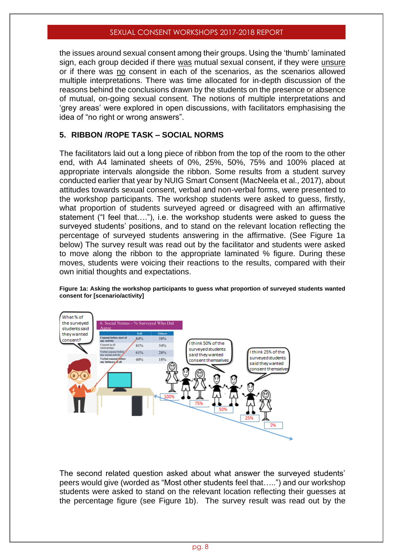the issues around sexual consent among their groups. Using the 'thumb' laminated sign, each group decided if there was mutual sexual consent, if they were unsure or if there was no consent in each of the scenarios, as the scenarios allowed multiple interpretations. There was time allocated for in-depth discussion of the reasons behind the conclusions drawn by the students on the presence or absence of mutual, on-going sexual consent. The notions of multiple interpretations and 'grey areas' were explored in open discussions, with facilitators emphasising the idea of "no right or wrong answers".

#### **5. RIBBON /ROPE TASK – SOCIAL NORMS**

The facilitators laid out a long piece of ribbon from the top of the room to the other end, with A4 laminated sheets of 0%, 25%, 50%, 75% and 100% placed at appropriate intervals alongside the ribbon. Some results from a student survey conducted earlier that year by NUIG Smart Consent (MacNeela et al., 2017), about attitudes towards sexual consent, verbal and non-verbal forms, were presented to the workshop participants. The workshop students were asked to guess, firstly, what proportion of students surveyed agreed or disagreed with an affirmative statement ("I feel that…."), i.e. the workshop students were asked to guess the surveyed students' positions, and to stand on the relevant location reflecting the percentage of surveyed students answering in the affirmative. (See Figure 1a below) The survey result was read out by the facilitator and students were asked to move along the ribbon to the appropriate laminated % figure. During these moves, students were voicing their reactions to the results, compared with their own initial thoughts and expectations.

**Figure 1a: Asking the workshop participants to guess what proportion of surveyed students wanted consent for [scenario/activity]**



The second related question asked about what answer the surveyed students' peers would give (worded as "Most other students feel that…..") and our workshop students were asked to stand on the relevant location reflecting their guesses at the percentage figure (see Figure 1b). The survey result was read out by the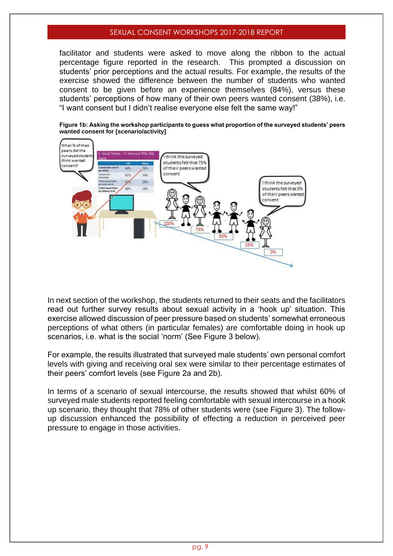facilitator and students were asked to move along the ribbon to the actual percentage figure reported in the research. This prompted a discussion on students' prior perceptions and the actual results. For example, the results of the exercise showed the difference between the number of students who wanted consent to be given before an experience themselves (84%), versus these students' perceptions of how many of their own peers wanted consent (38%), i.e. "I want consent but I didn't realise everyone else felt the same way!"



**Figure 1b: Asking the workshop participants to guess what proportion of the surveyed students' peers wanted consent for [scenario/activity]**

In next section of the workshop, the students returned to their seats and the facilitators read out further survey results about sexual activity in a 'hook up' situation. This exercise allowed discussion of peer pressure based on students' somewhat erroneous perceptions of what others (in particular females) are comfortable doing in hook up scenarios, i.e. what is the social 'norm' (See Figure 3 below).

For example, the results illustrated that surveyed male students' own personal comfort levels with giving and receiving oral sex were similar to their percentage estimates of their peers' comfort levels (see Figure 2a and 2b).

In terms of a scenario of sexual intercourse, the results showed that whilst 60% of surveyed male students reported feeling comfortable with sexual intercourse in a hook up scenario, they thought that 78% of other students were (see Figure 3). The followup discussion enhanced the possibility of effecting a reduction in perceived peer pressure to engage in those activities.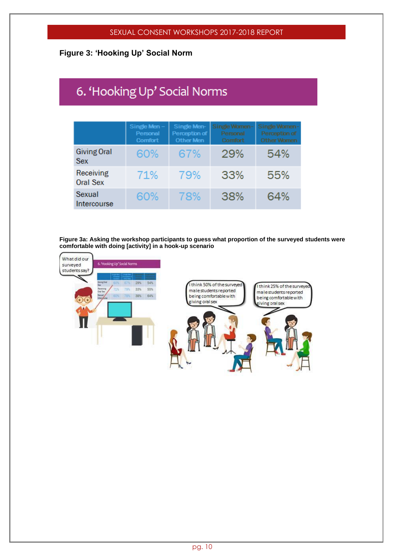#### **Figure 3: 'Hooking Up' Social Norm**

# 6. 'Hooking Up' Social Norms

|                                  | Single Men-<br>Personal<br><b>Comfort</b> | Single Men-<br>Perception of<br>Other Men | Single Women-<br>Personal<br><b>Comfort</b> | Single Women-<br>Perception of<br><b>Other Women</b> |
|----------------------------------|-------------------------------------------|-------------------------------------------|---------------------------------------------|------------------------------------------------------|
| <b>Giving Oral</b><br><b>Sex</b> | 60%                                       | 67%                                       | 29%                                         | 54%                                                  |
| Receiving<br><b>Oral Sex</b>     | 71%                                       | 79%                                       | 33%                                         | 55%                                                  |
| Sexual<br>Intercourse            | 60%                                       | 78%                                       | 38%                                         | 64%                                                  |

**Figure 3a: Asking the workshop participants to guess what proportion of the surveyed students were comfortable with doing [activity] in a hook-up scenario** 

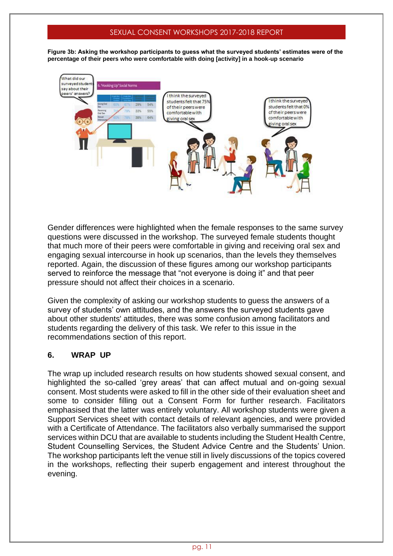**Figure 3b: Asking the workshop participants to guess what the surveyed students' estimates were of the percentage of their peers who were comfortable with doing [activity] in a hook-up scenario**



Gender differences were highlighted when the female responses to the same survey questions were discussed in the workshop. The surveyed female students thought that much more of their peers were comfortable in giving and receiving oral sex and engaging sexual intercourse in hook up scenarios, than the levels they themselves reported. Again, the discussion of these figures among our workshop participants served to reinforce the message that "not everyone is doing it" and that peer pressure should not affect their choices in a scenario.

Given the complexity of asking our workshop students to guess the answers of a survey of students' own attitudes, and the answers the surveyed students gave about other students' attitudes, there was some confusion among facilitators and students regarding the delivery of this task. We refer to this issue in the recommendations section of this report.

#### **6. WRAP UP**

The wrap up included research results on how students showed sexual consent, and highlighted the so-called 'grey areas' that can affect mutual and on-going sexual consent. Most students were asked to fill in the other side of their evaluation sheet and some to consider filling out a Consent Form for further research. Facilitators emphasised that the latter was entirely voluntary. All workshop students were given a Support Services sheet with contact details of relevant agencies, and were provided with a Certificate of Attendance. The facilitators also verbally summarised the support services within DCU that are available to students including the Student Health Centre, Student Counselling Services, the Student Advice Centre and the Students' Union. The workshop participants left the venue still in lively discussions of the topics covered in the workshops, reflecting their superb engagement and interest throughout the evening.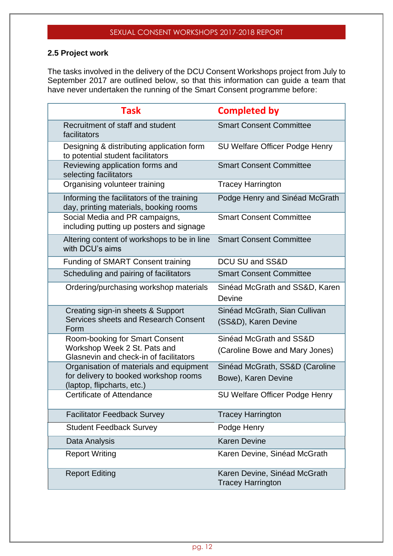#### **2.5 Project work**

The tasks involved in the delivery of the DCU Consent Workshops project from July to September 2017 are outlined below, so that this information can guide a team that have never undertaken the running of the Smart Consent programme before:

| <b>Task</b>                                                                          | <b>Completed by</b>                                      |
|--------------------------------------------------------------------------------------|----------------------------------------------------------|
| Recruitment of staff and student<br>facilitators                                     | <b>Smart Consent Committee</b>                           |
| Designing & distributing application form<br>to potential student facilitators       | SU Welfare Officer Podge Henry                           |
| Reviewing application forms and<br>selecting facilitators                            | <b>Smart Consent Committee</b>                           |
| Organising volunteer training                                                        | <b>Tracey Harrington</b>                                 |
| Informing the facilitators of the training<br>day, printing materials, booking rooms | Podge Henry and Sinéad McGrath                           |
| Social Media and PR campaigns,<br>including putting up posters and signage           | <b>Smart Consent Committee</b>                           |
| Altering content of workshops to be in line<br>with DCU's aims                       | <b>Smart Consent Committee</b>                           |
| <b>Funding of SMART Consent training</b>                                             | DCU SU and SS&D                                          |
| Scheduling and pairing of facilitators                                               | <b>Smart Consent Committee</b>                           |
| Ordering/purchasing workshop materials                                               | Sinéad McGrath and SS&D, Karen                           |
|                                                                                      | Devine                                                   |
| Creating sign-in sheets & Support                                                    | Sinéad McGrath, Sian Cullivan                            |
| Services sheets and Research Consent<br>Form                                         | (SS&D), Karen Devine                                     |
| <b>Room-booking for Smart Consent</b>                                                | Sinéad McGrath and SS&D                                  |
| Workshop Week 2 St. Pats and<br>Glasnevin and check-in of facilitators               | (Caroline Bowe and Mary Jones)                           |
| Organisation of materials and equipment                                              | Sinéad McGrath, SS&D (Caroline                           |
| for delivery to booked workshop rooms<br>(laptop, flipcharts, etc.)                  | Bowe), Karen Devine                                      |
| Certificate of Attendance                                                            | SU Welfare Officer Podge Henry                           |
| <b>Facilitator Feedback Survey</b>                                                   | <b>Tracey Harrington</b>                                 |
| <b>Student Feedback Survey</b>                                                       | Podge Henry                                              |
| Data Analysis                                                                        | <b>Karen Devine</b>                                      |
| <b>Report Writing</b>                                                                | Karen Devine, Sinéad McGrath                             |
| <b>Report Editing</b>                                                                | Karen Devine, Sinéad McGrath<br><b>Tracey Harrington</b> |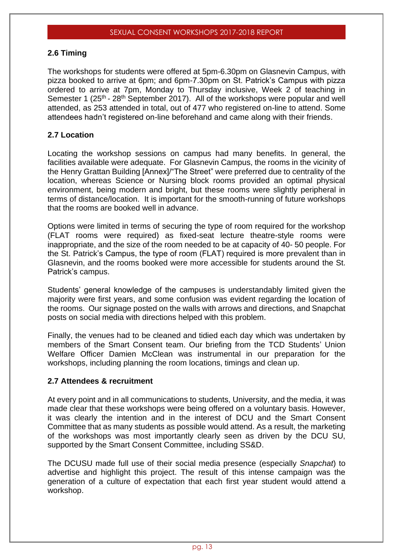#### **2.6 Timing**

The workshops for students were offered at 5pm-6.30pm on Glasnevin Campus, with pizza booked to arrive at 6pm; and 6pm-7.30pm on St. Patrick's Campus with pizza ordered to arrive at 7pm, Monday to Thursday inclusive, Week 2 of teaching in Semester 1 (25<sup>th</sup> - 28<sup>th</sup> September 2017). All of the workshops were popular and well attended, as 253 attended in total, out of 477 who registered on-line to attend. Some attendees hadn't registered on-line beforehand and came along with their friends.

#### **2.7 Location**

Locating the workshop sessions on campus had many benefits. In general, the facilities available were adequate. For Glasnevin Campus, the rooms in the vicinity of the Henry Grattan Building [Annex]/"The Street" were preferred due to centrality of the location, whereas Science or Nursing block rooms provided an optimal physical environment, being modern and bright, but these rooms were slightly peripheral in terms of distance/location. It is important for the smooth-running of future workshops that the rooms are booked well in advance.

Options were limited in terms of securing the type of room required for the workshop (FLAT rooms were required) as fixed-seat lecture theatre-style rooms were inappropriate, and the size of the room needed to be at capacity of 40- 50 people. For the St. Patrick's Campus, the type of room (FLAT) required is more prevalent than in Glasnevin, and the rooms booked were more accessible for students around the St. Patrick's campus.

Students' general knowledge of the campuses is understandably limited given the majority were first years, and some confusion was evident regarding the location of the rooms. Our signage posted on the walls with arrows and directions, and Snapchat posts on social media with directions helped with this problem.

Finally, the venues had to be cleaned and tidied each day which was undertaken by members of the Smart Consent team. Our briefing from the TCD Students' Union Welfare Officer Damien McClean was instrumental in our preparation for the workshops, including planning the room locations, timings and clean up.

#### **2.7 Attendees & recruitment**

At every point and in all communications to students, University, and the media, it was made clear that these workshops were being offered on a voluntary basis. However, it was clearly the intention and in the interest of DCU and the Smart Consent Committee that as many students as possible would attend. As a result, the marketing of the workshops was most importantly clearly seen as driven by the DCU SU, supported by the Smart Consent Committee, including SS&D.

The DCUSU made full use of their social media presence (especially *Snapchat*) to advertise and highlight this project. The result of this intense campaign was the generation of a culture of expectation that each first year student would attend a workshop.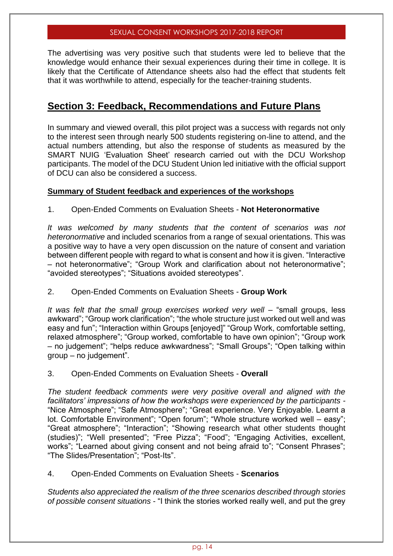The advertising was very positive such that students were led to believe that the knowledge would enhance their sexual experiences during their time in college. It is likely that the Certificate of Attendance sheets also had the effect that students felt that it was worthwhile to attend, especially for the teacher-training students.

## **Section 3: Feedback, Recommendations and Future Plans**

In summary and viewed overall, this pilot project was a success with regards not only to the interest seen through nearly 500 students registering on-line to attend, and the actual numbers attending, but also the response of students as measured by the SMART NUIG 'Evaluation Sheet' research carried out with the DCU Workshop participants. The model of the DCU Student Union led initiative with the official support of DCU can also be considered a success.

#### **Summary of Student feedback and experiences of the workshops**

1. Open-Ended Comments on Evaluation Sheets - **Not Heteronormative**

*It was welcomed by many students that the content of scenarios was not heteronormative* and included scenarios from a range of sexual orientations. This was a positive way to have a very open discussion on the nature of consent and variation between different people with regard to what is consent and how it is given. "Interactive – not heteronormative"; "Group Work and clarification about not heteronormative"; "avoided stereotypes"; "Situations avoided stereotypes".

#### 2. Open-Ended Comments on Evaluation Sheets - **Group Work**

It was felt that the small group exercises worked very well – "small groups, less awkward"; "Group work clarification"; "the whole structure just worked out well and was easy and fun"; "Interaction within Groups [enjoyed]" "Group Work, comfortable setting, relaxed atmosphere"; "Group worked, comfortable to have own opinion"; "Group work – no judgement"; "helps reduce awkwardness"; "Small Groups"; "Open talking within group – no judgement".

#### 3. Open-Ended Comments on Evaluation Sheets - **Overall**

*The student feedback comments were very positive overall and aligned with the facilitators' impressions of how the workshops were experienced by the participants -* "Nice Atmosphere"; "Safe Atmosphere"; "Great experience. Very Enjoyable. Learnt a lot. Comfortable Environment"; "Open forum"; "Whole structure worked well – easy"; "Great atmosphere"; "Interaction"; "Showing research what other students thought (studies)"; "Well presented"; "Free Pizza"; "Food"; "Engaging Activities, excellent, works"; "Learned about giving consent and not being afraid to"; "Consent Phrases"; "The Slides/Presentation"; "Post-Its".

4. Open-Ended Comments on Evaluation Sheets - **Scenarios**

*Students also appreciated the realism of the three scenarios described through stories of possible consent situations* - "I think the stories worked really well, and put the grey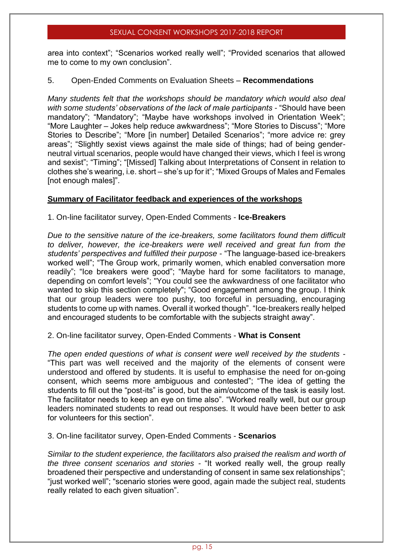area into context"; "Scenarios worked really well"; "Provided scenarios that allowed me to come to my own conclusion".

#### 5. Open-Ended Comments on Evaluation Sheets – **Recommendations**

*Many students felt that the workshops should be mandatory which would also deal with some students' observations of the lack of male participants -* "Should have been mandatory"; "Mandatory"; "Maybe have workshops involved in Orientation Week"; "More Laughter – Jokes help reduce awkwardness"; "More Stories to Discuss"; "More Stories to Describe"; "More [in number] Detailed Scenarios"; "more advice re: grey areas"; "Slightly sexist views against the male side of things; had of being genderneutral virtual scenarios, people would have changed their views, which I feel is wrong and sexist"; "Timing"; "[Missed] Talking about Interpretations of Consent in relation to clothes she's wearing, i.e. short – she's up for it"; "Mixed Groups of Males and Females [not enough males]".

#### **Summary of Facilitator feedback and experiences of the workshops**

1. On-line facilitator survey, Open-Ended Comments - **Ice-Breakers**

*Due to the sensitive nature of the ice-breakers, some facilitators found them difficult to deliver, however, the ice-breakers were well received and great fun from the students' perspectives and fulfilled their purpose* - "The language-based ice-breakers worked well"; "The Group work, primarily women, which enabled conversation more readily"; "Ice breakers were good"; "Maybe hard for some facilitators to manage, depending on comfort levels"; "You could see the awkwardness of one facilitator who wanted to skip this section completely"; "Good engagement among the group. I think that our group leaders were too pushy, too forceful in persuading, encouraging students to come up with names. Overall it worked though". "Ice-breakers really helped and encouraged students to be comfortable with the subjects straight away".

#### 2. On-line facilitator survey, Open-Ended Comments - **What is Consent**

*The open ended questions of what is consent were well received by the students* - "This part was well received and the majority of the elements of consent were understood and offered by students. It is useful to emphasise the need for on-going consent, which seems more ambiguous and contested"; "The idea of getting the students to fill out the "post-its" is good, but the aim/outcome of the task is easily lost. The facilitator needs to keep an eye on time also". "Worked really well, but our group leaders nominated students to read out responses. It would have been better to ask for volunteers for this section".

#### 3. On-line facilitator survey, Open-Ended Comments - **Scenarios**

*Similar to the student experience, the facilitators also praised the realism and worth of the three consent scenarios and stories -* "It worked really well, the group really broadened their perspective and understanding of consent in same sex relationships"; "just worked well"; "scenario stories were good, again made the subject real, students really related to each given situation".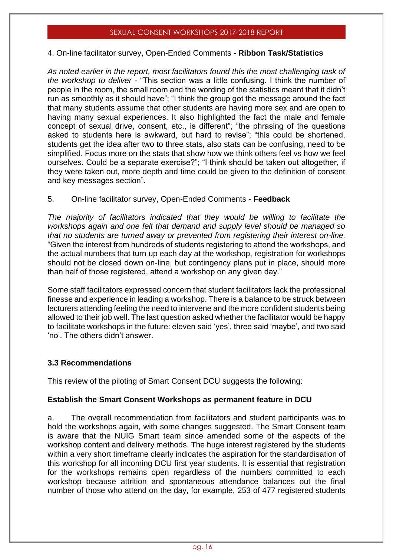#### 4. On-line facilitator survey, Open-Ended Comments - **Ribbon Task/Statistics**

*As noted earlier in the report, most facilitators found this the most challenging task of the workshop to deliver -* "This section was a little confusing. I think the number of people in the room, the small room and the wording of the statistics meant that it didn't run as smoothly as it should have"; "I think the group got the message around the fact that many students assume that other students are having more sex and are open to having many sexual experiences. It also highlighted the fact the male and female concept of sexual drive, consent, etc., is different"; "the phrasing of the questions asked to students here is awkward, but hard to revise"; "this could be shortened, students get the idea after two to three stats, also stats can be confusing, need to be simplified. Focus more on the stats that show how we think others feel vs how we feel ourselves. Could be a separate exercise?"; "I think should be taken out altogether, if they were taken out, more depth and time could be given to the definition of consent and key messages section".

#### 5. On-line facilitator survey, Open-Ended Comments - **Feedback**

*The majority of facilitators indicated that they would be willing to facilitate the workshops again and one felt that demand and supply level should be managed so that no students are turned away or prevented from registering their interest on-line.*  "Given the interest from hundreds of students registering to attend the workshops, and the actual numbers that turn up each day at the workshop, registration for workshops should not be closed down on-line, but contingency plans put in place, should more than half of those registered, attend a workshop on any given day."

Some staff facilitators expressed concern that student facilitators lack the professional finesse and experience in leading a workshop. There is a balance to be struck between lecturers attending feeling the need to intervene and the more confident students being allowed to their job well. The last question asked whether the facilitator would be happy to facilitate workshops in the future: eleven said 'yes', three said 'maybe', and two said 'no'. The others didn't answer.

#### **3.3 Recommendations**

This review of the piloting of Smart Consent DCU suggests the following:

#### **Establish the Smart Consent Workshops as permanent feature in DCU**

a. The overall recommendation from facilitators and student participants was to hold the workshops again, with some changes suggested. The Smart Consent team is aware that the NUIG Smart team since amended some of the aspects of the workshop content and delivery methods. The huge interest registered by the students within a very short timeframe clearly indicates the aspiration for the standardisation of this workshop for all incoming DCU first year students. It is essential that registration for the workshops remains open regardless of the numbers committed to each workshop because attrition and spontaneous attendance balances out the final number of those who attend on the day, for example, 253 of 477 registered students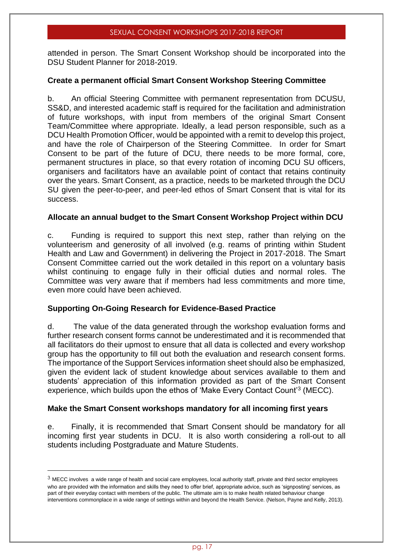attended in person. The Smart Consent Workshop should be incorporated into the DSU Student Planner for 2018-2019.

#### **Create a permanent official Smart Consent Workshop Steering Committee**

b. An official Steering Committee with permanent representation from DCUSU, SS&D, and interested academic staff is required for the facilitation and administration of future workshops, with input from members of the original Smart Consent Team/Committee where appropriate. Ideally, a lead person responsible, such as a DCU Health Promotion Officer, would be appointed with a remit to develop this project, and have the role of Chairperson of the Steering Committee. In order for Smart Consent to be part of the future of DCU, there needs to be more formal, core, permanent structures in place, so that every rotation of incoming DCU SU officers, organisers and facilitators have an available point of contact that retains continuity over the years. Smart Consent, as a practice, needs to be marketed through the DCU SU given the peer-to-peer, and peer-led ethos of Smart Consent that is vital for its success.

#### **Allocate an annual budget to the Smart Consent Workshop Project within DCU**

c. Funding is required to support this next step, rather than relying on the volunteerism and generosity of all involved (e.g. reams of printing within Student Health and Law and Government) in delivering the Project in 2017-2018. The Smart Consent Committee carried out the work detailed in this report on a voluntary basis whilst continuing to engage fully in their official duties and normal roles. The Committee was very aware that if members had less commitments and more time, even more could have been achieved.

#### **Supporting On-Going Research for Evidence-Based Practice**

d. The value of the data generated through the workshop evaluation forms and further research consent forms cannot be underestimated and it is recommended that all facilitators do their upmost to ensure that all data is collected and every workshop group has the opportunity to fill out both the evaluation and research consent forms. The importance of the Support Services information sheet should also be emphasized, given the evident lack of student knowledge about services available to them and students' appreciation of this information provided as part of the Smart Consent experience, which builds upon the ethos of 'Make Every Contact Count'<sup>3</sup> (MECC).

#### **Make the Smart Consent workshops mandatory for all incoming first years**

e. Finally, it is recommended that Smart Consent should be mandatory for all incoming first year students in DCU. It is also worth considering a roll-out to all students including Postgraduate and Mature Students.

 $3$  MECC involves a wide range of health and social care employees, local authority staff, private and third sector employees who are provided with the information and skills they need to offer brief, appropriate advice, such as 'signposting' services, as part of their everyday contact with members of the public. The ultimate aim is to make health related behaviour change interventions commonplace in a wide range of settings within and beyond the Health Service. (Nelson, Payne and Kelly, 2013).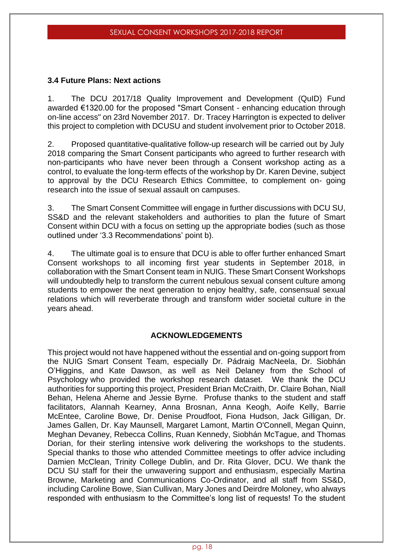#### **3.4 Future Plans: Next actions**

1. The DCU 2017/18 Quality Improvement and Development (QuID) Fund awarded €1320.00 for the proposed "Smart Consent - enhancing education through on-line access" on 23rd November 2017. Dr. Tracey Harrington is expected to deliver this project to completion with DCUSU and student involvement prior to October 2018.

2. Proposed quantitative-qualitative follow-up research will be carried out by July 2018 comparing the Smart Consent participants who agreed to further research with non-participants who have never been through a Consent workshop acting as a control, to evaluate the long-term effects of the workshop by Dr. Karen Devine, subject to approval by the DCU Research Ethics Committee, to complement on- going research into the issue of sexual assault on campuses.

3. The Smart Consent Committee will engage in further discussions with DCU SU, SS&D and the relevant stakeholders and authorities to plan the future of Smart Consent within DCU with a focus on setting up the appropriate bodies (such as those outlined under '3.3 Recommendations' point b).

4. The ultimate goal is to ensure that DCU is able to offer further enhanced Smart Consent workshops to all incoming first year students in September 2018, in collaboration with the Smart Consent team in NUIG. These Smart Consent Workshops will undoubtedly help to transform the current nebulous sexual consent culture among students to empower the next generation to enjoy healthy, safe, consensual sexual relations which will reverberate through and transform wider societal culture in the years ahead.

#### **ACKNOWLEDGEMENTS**

This project would not have happened without the essential and on-going support from the NUIG Smart Consent Team, especially Dr. Pádraig MacNeela, Dr. Siobhán O'Higgins, and Kate Dawson, as well as Neil Delaney from the School of Psychology who provided the workshop research dataset. We thank the DCU authorities for supporting this project, President Brian McCraith, Dr. Claire Bohan, Niall Behan, Helena Aherne and Jessie Byrne. Profuse thanks to the student and staff facilitators, Alannah Kearney, Anna Brosnan, Anna Keogh, Aoife Kelly, Barrie McEntee, Caroline Bowe, Dr. Denise Proudfoot, Fiona Hudson, Jack Gilligan, Dr. James Gallen, Dr. Kay Maunsell, Margaret Lamont, Martin O'Connell, Megan Quinn, Meghan Devaney, Rebecca Collins, Ruan Kennedy, Siobhán McTague, and Thomas Dorian, for their sterling intensive work delivering the workshops to the students. Special thanks to those who attended Committee meetings to offer advice including Damien McClean, Trinity College Dublin, and Dr. Rita Glover, DCU. We thank the DCU SU staff for their the unwavering support and enthusiasm, especially Martina Browne, Marketing and Communications Co-Ordinator, and all staff from SS&D, including Caroline Bowe, Sian Cullivan, Mary Jones and Deirdre Moloney, who always responded with enthusiasm to the Committee's long list of requests! To the student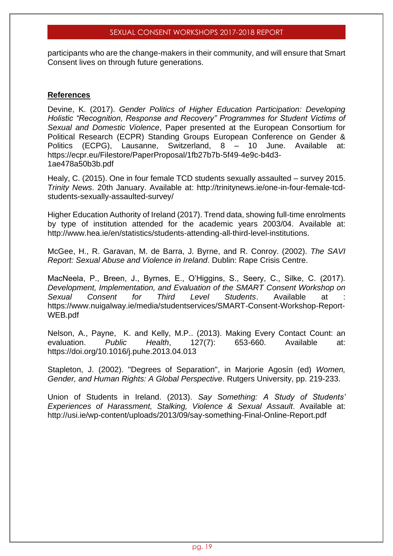participants who are the change-makers in their community, and will ensure that Smart Consent lives on through future generations.

#### **References**

Devine, K. (2017). *Gender Politics of Higher Education Participation: Developing Holistic "Recognition, Response and Recovery" Programmes for Student Victims of Sexual and Domestic Violence*, Paper presented at the European Consortium for Political Research (ECPR) Standing Groups European Conference on Gender & Politics (ECPG), Lausanne, Switzerland, 8 – 10 June. Available at: https://ecpr.eu/Filestore/PaperProposal/1fb27b7b-5f49-4e9c-b4d3- 1ae478a50b3b.pdf

Healy, C. (2015). One in four female TCD students sexually assaulted – survey 2015. *Trinity News*. 20th January. Available at: http://trinitynews.ie/one-in-four-female-tcdstudents-sexually-assaulted-survey/

Higher Education Authority of Ireland (2017). Trend data, showing full-time enrolments by type of institution attended for the academic years 2003/04. Available at: http://www.hea.ie/en/statistics/students-attending-all-third-level-institutions.

McGee, H., R. Garavan, M. de Barra, J. Byrne, and R. Conroy. (2002). *The SAVI Report: Sexual Abuse and Violence in Ireland*. Dublin: Rape Crisis Centre.

MacNeela, P., Breen, J., Byrnes, E., O'Higgins, S., Seery, C., Silke, C. (2017). *Development, Implementation, and Evaluation of the SMART Consent Workshop on Sexual Consent for Third Level Students*. Available at : https://www.nuigalway.ie/media/studentservices/SMART-Consent-Workshop-Report-WEB.pdf

Nelson, A., Payne, K. and Kelly, M.P.. (2013). Making Every Contact Count: an evaluation. *Public Health*, 127(7): 653-660. Available at: <https://doi.org/10.1016/j.puhe.2013.04.013>

Stapleton, J. (2002). "Degrees of Separation", in Marjorie Agosín (ed) *Women, Gender, and Human Rights: A Global Perspective*. Rutgers University, pp. 219-233.

Union of Students in Ireland. (2013). *Say Something: A Study of Students' Experiences of Harassment, Stalking, Violence & Sexual Assault*. Available at: http://usi.ie/wp-content/uploads/2013/09/say-something-Final-Online-Report.pdf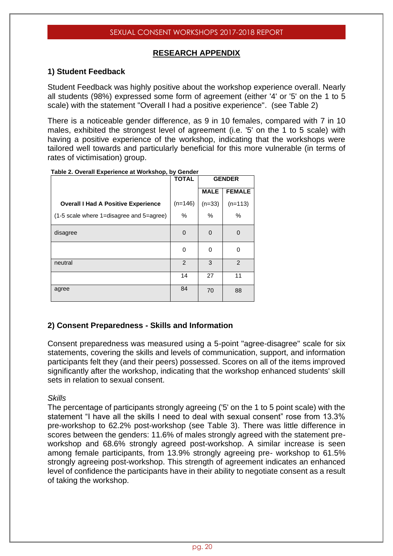#### **RESEARCH APPENDIX**

#### **1) Student Feedback**

Student Feedback was highly positive about the workshop experience overall. Nearly all students (98%) expressed some form of agreement (either '4' or '5' on the 1 to 5 scale) with the statement "Overall I had a positive experience". (see Table 2)

There is a noticeable gender difference, as 9 in 10 females, compared with 7 in 10 males, exhibited the strongest level of agreement (i.e. '5' on the 1 to 5 scale) with having a positive experience of the workshop, indicating that the workshops were tailored well towards and particularly beneficial for this more vulnerable (in terms of rates of victimisation) group.

|                                            | <b>TOTAL</b> | <b>GENDER</b> |               |  |
|--------------------------------------------|--------------|---------------|---------------|--|
|                                            |              | <b>MALE</b>   | <b>FEMALE</b> |  |
| <b>Overall I Had A Positive Experience</b> | $(n=146)$    | $(n=33)$      | $(n=113)$     |  |
| (1-5 scale where 1=disagree and 5=agree)   | %<br>$\%$    |               | $\%$          |  |
| disagree                                   | $\Omega$     | $\Omega$      | $\Omega$      |  |
|                                            | 0            | 0             | $\Omega$      |  |
| neutral                                    | 2            | 3             | 2             |  |
|                                            | 14           | 27            | 11            |  |
| agree                                      | 84           | 70            | 88            |  |

#### **Table 2. Overall Experience at Workshop, by Gender**

#### **2) Consent Preparedness - Skills and Information**

Consent preparedness was measured using a 5-point "agree-disagree" scale for six statements, covering the skills and levels of communication, support, and information participants felt they (and their peers) possessed. Scores on all of the items improved significantly after the workshop, indicating that the workshop enhanced students' skill sets in relation to sexual consent.

#### *Skills*

The percentage of participants strongly agreeing ('5' on the 1 to 5 point scale) with the statement "I have all the skills I need to deal with sexual consent" rose from 13.3% pre-workshop to 62.2% post-workshop (see Table 3). There was little difference in scores between the genders: 11.6% of males strongly agreed with the statement preworkshop and 68.6% strongly agreed post-workshop. A similar increase is seen among female participants, from 13.9% strongly agreeing pre- workshop to 61.5% strongly agreeing post-workshop. This strength of agreement indicates an enhanced level of confidence the participants have in their ability to negotiate consent as a result of taking the workshop.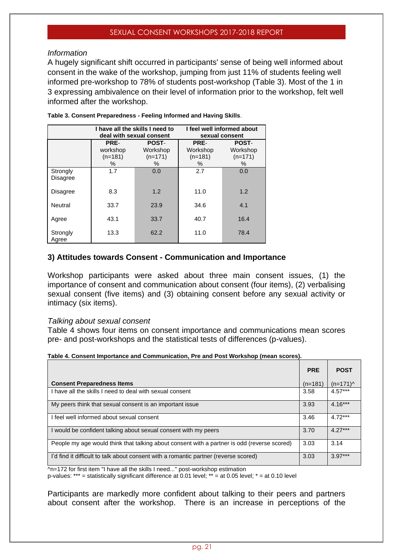#### *Information*

A hugely significant shift occurred in participants' sense of being well informed about consent in the wake of the workshop, jumping from just 11% of students feeling well informed pre-workshop to 78% of students post-workshop (Table 3). Most of the 1 in 3 expressing ambivalence on their level of information prior to the workshop, felt well informed after the workshop.

|                             | I have all the skills I need to<br>deal with sexual consent                      |      |                                    | I feel well informed about<br>sexual consent |
|-----------------------------|----------------------------------------------------------------------------------|------|------------------------------------|----------------------------------------------|
|                             | PRE-<br><b>POST-</b><br>workshop<br>Workshop<br>$(n=181)$<br>$(n=171)$<br>%<br>℅ |      | PRE-<br>Workshop<br>$(n=181)$<br>% | <b>POST-</b><br>Workshop<br>$(n=171)$<br>%   |
| Strongly<br><b>Disagree</b> | 1.7                                                                              | 0.0  | 2.7                                | 0.0                                          |
| <b>Disagree</b>             | 8.3                                                                              | 1.2  | 11.0                               | 1.2                                          |
| Neutral                     | 33.7                                                                             | 23.9 | 34.6                               | 4.1                                          |
| Agree                       | 43.1                                                                             | 33.7 | 40.7                               | 16.4                                         |
| Strongly<br>Agree           | 13.3                                                                             | 62.2 | 11.0                               | 78.4                                         |

**Table 3. Consent Preparedness - Feeling Informed and Having Skills**.

#### **3) Attitudes towards Consent - Communication and Importance**

Workshop participants were asked about three main consent issues, (1) the importance of consent and communication about consent (four items), (2) verbalising sexual consent (five items) and (3) obtaining consent before any sexual activity or intimacy (six items).

#### *Talking about sexual consent*

Table 4 shows four items on consent importance and communications mean scores pre- and post-workshops and the statistical tests of differences (p-values).

**Table 4. Consent Importance and Communication, Pre and Post Workshop (mean scores).**

|                                                                                             | <b>PRE</b> | <b>POST</b> |
|---------------------------------------------------------------------------------------------|------------|-------------|
| <b>Consent Preparedness Items</b>                                                           | $(n=181)$  | $(n=171)$   |
| I have all the skills I need to deal with sexual consent                                    | 3.58       | $4.57***$   |
| My peers think that sexual consent is an important issue                                    | 3.93       | $4.16***$   |
| I feel well informed about sexual consent                                                   | 3.46       | $4.72***$   |
| I would be confident talking about sexual consent with my peers                             | 3.70       | $4.27***$   |
| People my age would think that talking about consent with a partner is odd (reverse scored) | 3.03       | 3.14        |
| I'd find it difficult to talk about consent with a romantic partner (reverse scored)        | 3.03       | $3.97***$   |

 $\sqrt{n}$ =172 for first item "I have all the skills I need..." post-workshop estimation

p-values: \*\*\* = statistically significant difference at 0.01 level; \*\* = at 0.05 level; \* = at 0.10 level

Participants are markedly more confident about talking to their peers and partners about consent after the workshop. There is an increase in perceptions of the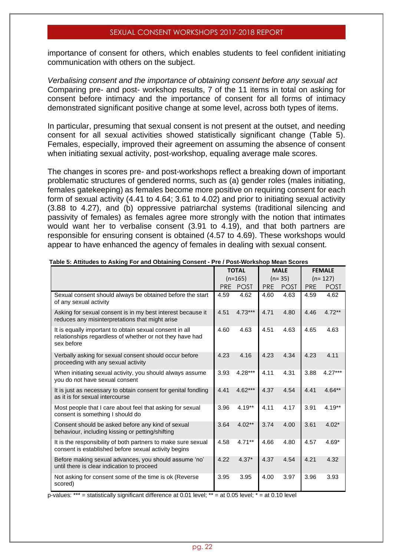importance of consent for others, which enables students to feel confident initiating communication with others on the subject.

*Verbalising consent and the importance of obtaining consent before any sexual act* Comparing pre- and post- workshop results, 7 of the 11 items in total on asking for consent before intimacy and the importance of consent for all forms of intimacy demonstrated significant positive change at some level, across both types of items.

In particular, presuming that sexual consent is not present at the outset, and needing consent for all sexual activities showed statistically significant change (Table 5). Females, especially, improved their agreement on assuming the absence of consent when initiating sexual activity, post-workshop, equaling average male scores.

The changes in scores pre- and post-workshops reflect a breaking down of important problematic structures of gendered norms, such as (a) gender roles (males initiating, females gatekeeping) as females become more positive on requiring consent for each form of sexual activity (4.41 to 4.64; 3.61 to 4.02) and prior to initiating sexual activity (3.88 to 4.27), and (b) oppressive patriarchal systems (traditional silencing and passivity of females) as females agree more strongly with the notion that intimates would want her to verbalise consent (3.91 to 4.19), and that both partners are responsible for ensuring consent is obtained (4.57 to 4.69). These workshops would appear to have enhanced the agency of females in dealing with sexual consent.

|                                                                                                                                   |      | <b>TOTAL</b> |            | <b>MALE</b> |            | <b>FEMALE</b> |
|-----------------------------------------------------------------------------------------------------------------------------------|------|--------------|------------|-------------|------------|---------------|
|                                                                                                                                   |      | $(n=165)$    |            | $(n=35)$    |            | $(n=127)$     |
|                                                                                                                                   |      | PRE POST     | <b>PRE</b> | <b>POST</b> | <b>PRE</b> | <b>POST</b>   |
| Sexual consent should always be obtained before the start<br>of any sexual activity                                               | 4.59 | 4.62         | 4.60       | 4.63        | 4.59       | 4.62          |
| Asking for sexual consent is in my best interest because it<br>reduces any misinterpretations that might arise                    | 4.51 | $4.73***$    | 4.71       | 4.80        | 4.46       | $4.72**$      |
| It is equally important to obtain sexual consent in all<br>relationships regardless of whether or not they have had<br>sex before | 4.60 | 4.63         | 4.51       | 4.63        | 4.65       | 4.63          |
| Verbally asking for sexual consent should occur before<br>proceeding with any sexual activity                                     | 4.23 | 4.16         | 4.23       | 4.34        | 4.23       | 4.11          |
| When initiating sexual activity, you should always assume<br>you do not have sexual consent                                       | 3.93 | $4.28***$    | 4.11       | 4.31        | 3.88       | $4.27***$     |
| It is just as necessary to obtain consent for genital fondling<br>as it is for sexual intercourse                                 | 4.41 | $4.62***$    | 4.37       | 4.54        | 4.41       | $4.64***$     |
| Most people that I care about feel that asking for sexual<br>consent is something I should do                                     | 3.96 | $4.19**$     | 4.11       | 4.17        | 3.91       | $4.19**$      |
| Consent should be asked before any kind of sexual<br>behaviour, including kissing or petting/shifting                             | 3.64 | $4.02**$     | 3.74       | 4.00        | 3.61       | $4.02*$       |
| It is the responsibility of both partners to make sure sexual<br>consent is established before sexual activity begins             | 4.58 | $4.71***$    | 4.66       | 4.80        | 4.57       | $4.69*$       |
| Before making sexual advances, you should assume 'no'<br>until there is clear indication to proceed                               | 4.22 | $4.37*$      | 4.37       | 4.54        | 4.21       | 4.32          |
| Not asking for consent some of the time is ok (Reverse<br>scored)                                                                 | 3.95 | 3.95         | 4.00       | 3.97        | 3.96       | 3.93          |

#### **Table 5: Attitudes to Asking For and Obtaining Consent - Pre / Post-Workshop Mean Scores**

p-values: \*\*\* = statistically significant difference at 0.01 level; \*\* = at 0.05 level; \* = at 0.10 level